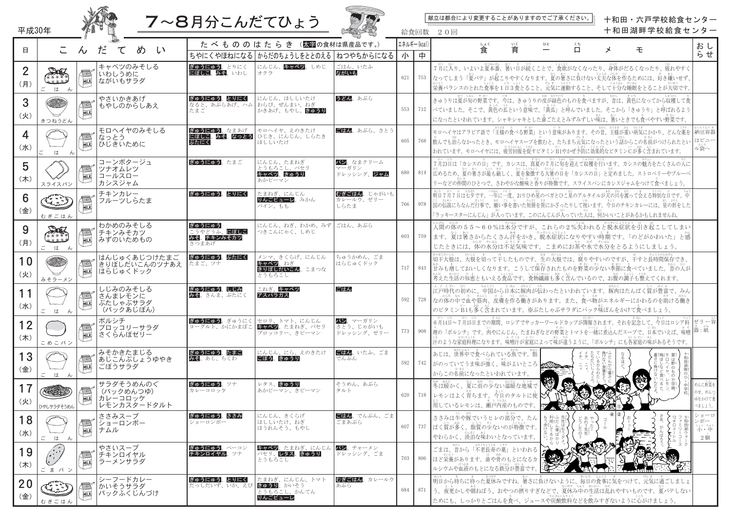|                                       |                                   |                           |                                                  |                                                  |                                                                                       |                                     |                 |              | 献立は都合により変更することがありますのでご了承ください。<br>十和田・六戸学校給食センター                                                                                                                                                                                              |
|---------------------------------------|-----------------------------------|---------------------------|--------------------------------------------------|--------------------------------------------------|---------------------------------------------------------------------------------------|-------------------------------------|-----------------|--------------|----------------------------------------------------------------------------------------------------------------------------------------------------------------------------------------------------------------------------------------------|
| 平成30年                                 |                                   |                           |                                                  | <b>7~8月分こんだてひょう</b>                              |                                                                                       |                                     |                 | 給食回数         | 十和田湖畔学校給食センター<br>20回                                                                                                                                                                                                                         |
| 8                                     | こ                                 | だ<br>$\mathcal{H}$        | め<br>て<br>$\iota$                                |                                                  | たべもののはたらき (太空の食材は県産品です。)<br>ちやにくやほねになる からだのちょうしをととのえる ねつやちからになる                       |                                     | エネルギー(kcal<br>小 | 中            | しょく<br>ひと<br>いく<br>くち<br>おし<br>育<br>食<br>$\Box$<br>壬<br>メ<br>らせ                                                                                                                                                                              |
| $\overline{2}$<br>(月)                 | DIE<br>rin a<br><u>.</u><br>はん    | $\sqrt{2}$<br>MILK        | キャベツのみそしる<br>いわしうめに<br>ながいもサラダ                   | ぎゅうにゅう、とりにく<br>にぼしこ、みそ、いわし                       | にんじん、キャベツ、しめじ<br>オクラ                                                                  | ごはん、いたふ<br>ながいも                     | 621             | 753          | 7月に入り、いよいよ夏本番。暑い日が続くことで、食欲がなくなったり、身体がだるくなったり、疲れやすく<br>なってしまう「夏バテ」が起こりやすくなります。夏の暑さに負けない丈夫な体を作るためには、好き嫌いせず、<br>ネッムラ<br>栄養バランスのとれた食事を1日3食とること、元気に運動すること、そして十分な睡眠をとることが大切です。                                                                     |
| 3<br>(火)                              | きつねうどん                            | MILK                      | やさいかきあげ<br>もやしのからしあえ                             | ぎゅうにゅう、とりにく<br>なると、あぶらあげ、ハム   わらび、ぜんまい、ねぎ<br>たまご | にんじん、ほししいたけ<br>かきあげ、もやし、きゅうり                                                          | うどん、あぶら                             | 553             | 712 <b> </b> | きゅうりは夏が旬の野菜です。今は、きゅうりの皮が緑色のものを食べますが、昔は、黄色になってから収穫して食<br>べていました。そこで、黄色の瓜という意味で、「黄瓜」と呼んでいました。そこから「きゅうり」と呼ばれるよう<br>になったといわれています。シャキシャキとした歯ごたえとみずみずしい味は、暑いときでも食べやすい野菜です。                                                                         |
| (7K)                                  | t h                               | なっとう<br>MILK              | モロヘイヤのみそしる<br>ひじきいために                            | ぎゅうにゅう、なまあげ<br>ぶたにく                              | モロヘイヤ、えのきたけ<br>にぼしこ、みそ、なっとう   ひじき、にんじん、しらたき<br>ほししいたけ                                 | ごはん、あぶら、さとう                         | 605             | 768          | はビニー<br>ル袋へ<br>われています。モロヘイヤには、疲労回復を促すビタミンB1やかぜ予防に効果的なビタミンCが多く含まれています。                                                                                                                                                                        |
| 5<br>(木)                              | スライスパン                            | $\sqrt{2}$                | コーンポタージュ<br>ツナオムレツ<br>コールスロー<br>カシスジャム           | ぎゅうにゅう、たまご                                       | にんじん、たまねぎ<br>とうもろこし、パセリ<br>キャベツ、きゅうり<br>あかピーマン                                        | パン、なまクリーム<br>マーガリン<br>ドレッシング、 ジャム   | 680             | 814          | なつ がつ しゅん むか しゅうかく おこな<br>7月23日は「カシスの日」です。カシスは、真夏の7月に旬を迎えて収穫を行います。カシスの魅力をたくさんの入に<br>リーなどの仲間のひとつで、さわやかな酸味と香りが特徴です。スライスパンにカシスジャムをつけて食べましょう。                                                                                                    |
| 6<br>(金)                              | تىم يىلى<br>سىرىمىگ<br>むぎごはん      | MILK                      | チキンカレー<br>フルーツしらたま                               | ぎゅうにゅう、とりにく                                      | たまねぎ、にんじん<br>りんごピューレ、みかん<br>パイン、もも                                                    | むぎごはん、じゃがいも<br>カレールウ、ゼリー<br>しらたま    | 766             | 978          | 「ラッキースターにんじん」が入っています。このにんじんが入っていた人は、何かいいことがあるかもしれませんね。                                                                                                                                                                                       |
| 9<br>(月)                              | <u>.</u><br>$\vec{c}$<br>はん       | $\sqrt{2}$<br>MILK        | わかめのみそしる<br> チキンみそカツ<br> みずのいためもの                | ぎゅうにゅう<br>こうやどうふ、にぼしこ<br>みそ、チキンみそカツ<br>さつまあげ     | にんじん、ねぎ、わかめ、みず ごはん、あぶら<br>つきこんにゃく、しめじ                                                 |                                     | 603             | 759          | 人間の体の55~60%は水分ですが、これらの2%失われると脱水症状を引き起こしてしまい<br>ます。夏は暑さからたくさん汗をかき、脱水症状になりやすい時期です。「のどがかわいた」と感<br>じたときには、体の水分は不足気味です。こまめにお茶や水で水分をとるようにしましょう。                                                                                                    |
| 10<br>(火)                             | みそラーメン                            | MILK                      | はんじゅくあじつけたまご<br>きりぼしだいこんのツナあえ<br>はらじゅくドック        | ぎゅうにゅう、ぶたにく<br>たまご、ツナ                            | メンマ、きくらげ、にんじん<br>キャベツ、ねぎ<br>きりぼしだいこん、こまつな<br>とうもろこし                                   | ちゅうかめん、ごま<br>はらじゅくドック               | 717             | 843          | き)gu.giv.c.k   giv.c.k   き<br>  切干大根は、大根を切って干したものです。生の大根では、腐りやすいのですが、干すと長時間保存でき、<br>甘みも増しておいしくなります。こうして保存されたものを野菜の少ない季節に食べていました。昔の人が<br>考えた生活の知恵ともいえる食品です。食物繊維も多く含んでいるので、お腹の調子も整えてくれます。                                                      |
| 11<br>(7K)                            | ごはん                               | $\sqrt{2}$                | しじみのみそしる<br>さんまレモンに<br>ぶたしゃぶサラダ<br>(パックあじぽん)     | ぎゅうにゅう、しじみ<br>みそ、さんま、ぶたにく                        | こねぎ、キャベツ<br>アスパラガス                                                                    | ごはん                                 | 592             | 728          | 江戸時代の初めに、中国から日本に豚肉が伝わったといわれています。豚肉はたんぱく質が豊富で、みん<br>゙ゕ <u>ゕヹゕゕ゚゠</u> ゙ぅ゠ぉゖく゠ヮぅ゠っく゠ゖ <u>ぅ</u><br>゙なの体の中で血や筋肉、皮膚を作る働きがあります。また、食べ物がエネルギーにかわるのを助ける働き<br>のビタミンB1も多く含まれています。※ぶたしゃぶサラダにパック味ぽんをかけて食べましょう。                                             |
| 1 <sub>0</sub><br>$\mathbb{Z}$<br>(木) | こめこパン                             | $\sqrt{2}$<br>MILK        | ボルシチ<br>ブロッコリーサラダ<br>さくらんぼゼリー                    |                                                  | <mark>ぎゅうにゅう</mark> 、ぎゅうにく セロリ、トマト、にんじん<br>ヨーグルト、かにかまぼこ キャベツ、たまねぎ、パセリ<br>ブロッコリー、きピーマン | パン、マーガリン<br>さとう、じゃがいも<br>ドレッシング、ゼリー | 773             | 908          | <sup>ゕ</sup> ゚゜ <sup>にも</sup><br>6月14日~7月15日までの期間、ロシアでサッカーワールドカップが開催されます。それを記念して、今日はロシア料   ゼリ 一容  <br>  理の「ボルシチ」です。肉やにんじん、たまねぎなどの野菜とトマトを一緒に煮込んだスープで、日本でいえば、味噌 <sup>  器 : 紙</sup><br>  汁のような家庭料理になります。味噌汁が家庭によって味が違うように、「ボルシチ」にも各家庭の味があるそうです。 |
| 13<br>(金)                             | ごは<br>h h                         | $\sqrt{2}$<br>MILK        | みそかきたまじる<br> あじこんぶしょうゆやき<br>ごぼうサラダ               | ぎゅうにゅう、たまご<br>みそ、あじ、ちくわ                          | にんじん、にら、えのきたけ<br>ごぼう、きゅうり                                                             | ごはん、いたふ、ごま<br>でんぷん                  | 592             | 742          | あじは、世界中で食べられている魚です。脂<br>さぽ只ぽ<br>からこの名前になったといわれています。                                                                                                                                                                                          |
| 17<br>(火)                             | ひやしサラダそうめん                        | MILK                      | サラダそうめんのぐ<br>(パックめんつゆ)<br>カレーコロッケ<br>レモンカスタードタルト | ぎゅうにゅう、ツナ<br>カレーコロッケ                             | レタス、きゅうり<br>あかピーマン、きピーマン                                                              | そうめん、あぶら<br>タルト                     |                 |              | <u>あめ、あたたいなどのあめにおくない。</u><br>冬は暖かく、夏に雨の少ない温暖な地域で<br>めんに野菜を<br>のせ、めんつ<br>620   718   レモンはよく育ちます。今日のタルトに使 义<br>ゆをかけて食<br><u>。</u><br>用しているレモンは、瀬戸内産のものです。<br>べましょう。                                                                            |
| 18<br>(水)                             | ご は ん                             | $\sqrt{2}$<br>ナムル<br>MILK | ささみスープ<br> ショーロンポー                               | ぎゅうにゅう、ささみ<br>ショーロンポー                            | にんじん、きくらげ<br>ほししいたけ、ねぎ<br>ほうれんそう、もやし                                                  | ごはん、でんぷん、ごま<br>ごまあぶら                | 607             | 737          | ささみは牛や豚でいうヒレの部分で、たん<br>ショーロ<br>ンポー<br>しょう ちゅう<br>小・中<br>ぱく質が多く、脂質の少ないのが特徴です。<br>た 先 。<br>の 生 。<br>やわらかく、淡泊な味わいとなっています。<br>2 個                                                                                                                |
| 19<br>(木)                             | $\widehat{(\cdot;\cdot)}$<br>ごまパン | MILK                      | やさいスープ<br>チキンロイヤル<br> ラーメンサラダ                    | ぎゅうにゅう、ベーコン<br>チキンロイヤル、ツナ                        | キャベツ、たまねぎ、にんじん<br>パセリ、レタス、きゅうり<br>とうもろこし                                              | パン、チャーメン<br>ドレッシング、ごま               | 703             | 806          | ごまは、昔から「不老長寿の薬」といわれる 2<br>┃ほど栄養があります。歯や骨のもとになるカ┃★★★<br>. コン・・・ <sub>サウスき</sub><br>ルシウムや血液のもとになる鉄分が豊富です                                                                                                                                       |
| 20<br>(金)                             |                                   | $\sqrt{2}$<br>MILK        | シーフードカレー<br>かいそうサラダ<br> パックふくじんづけ                | ぎゅうにゅう、とりにく<br>だっしだいず、いか、えび きゅうり、かいそう            | たまねぎ、にんじん、トマト<br>とうもろこし、かんてん<br>りんごピューレ                                               | むぎごはん、カレールウ<br>あぶら                  | 684             | 871          | う。夜更かしや朝ねぼう、おやつの摂りすぎなどで、夏休み中の生活は乱れやすいものです。夏バテしない<br>ためにも、しっかりとごはんを食べ、ジュースや炭酸飲料などを飲みすぎないように心がけましょう。                                                                                                                                           |